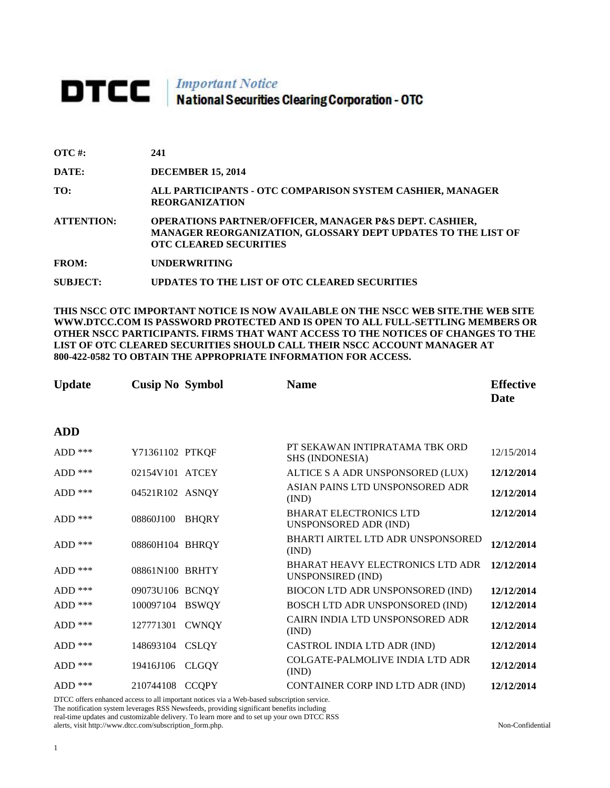## **DTCC** National Securities Clearing Corporation - OTC

| $\overline{OTC}$ #: | 241                                                                                                                                                                |
|---------------------|--------------------------------------------------------------------------------------------------------------------------------------------------------------------|
| DATE:               | <b>DECEMBER 15, 2014</b>                                                                                                                                           |
| TO:                 | ALL PARTICIPANTS - OTC COMPARISON SYSTEM CASHIER, MANAGER<br><b>REORGANIZATION</b>                                                                                 |
| <b>ATTENTION:</b>   | <b>OPERATIONS PARTNER/OFFICER, MANAGER P&amp;S DEPT. CASHIER,</b><br>MANAGER REORGANIZATION, GLOSSARY DEPT UPDATES TO THE LIST OF<br><b>OTC CLEARED SECURITIES</b> |
| <b>FROM:</b>        | <b>UNDERWRITING</b>                                                                                                                                                |
| <b>SUBJECT:</b>     | UPDATES TO THE LIST OF OTC CLEARED SECURITIES                                                                                                                      |

**THIS NSCC OTC IMPORTANT NOTICE IS NOW AVAILABLE ON THE NSCC WEB SITE.THE WEB SITE WWW.DTCC.COM IS PASSWORD PROTECTED AND IS OPEN TO ALL FULL-SETTLING MEMBERS OR OTHER NSCC PARTICIPANTS. FIRMS THAT WANT ACCESS TO THE NOTICES OF CHANGES TO THE LIST OF OTC CLEARED SECURITIES SHOULD CALL THEIR NSCC ACCOUNT MANAGER AT 800-422-0582 TO OBTAIN THE APPROPRIATE INFORMATION FOR ACCESS.** 

| <b>Update</b> | <b>Cusip No Symbol</b> |              | <b>Name</b>                                                  | <b>Effective</b><br>Date |
|---------------|------------------------|--------------|--------------------------------------------------------------|--------------------------|
| <b>ADD</b>    |                        |              |                                                              |                          |
| $ADD$ ***     | Y71361102 PTKQF        |              | PT SEKAWAN INTIPRATAMA TBK ORD<br><b>SHS (INDONESIA)</b>     | 12/15/2014               |
| $ADD$ ***     | 02154V101 ATCEY        |              | ALTICE S A ADR UNSPONSORED (LUX)                             | 12/12/2014               |
| $ADD$ ***     | 04521R102 ASNQY        |              | ASIAN PAINS LTD UNSPONSORED ADR<br>(IND)                     | 12/12/2014               |
| $ADD$ ***     | 08860J100              | <b>BHQRY</b> | <b>BHARAT ELECTRONICS LTD</b><br>UNSPONSORED ADR (IND)       | 12/12/2014               |
| ADD ***       | 08860H104 BHRQY        |              | BHARTI AIRTEL LTD ADR UNSPONSORED<br>(IND)                   | 12/12/2014               |
| $ADD$ ***     | 08861N100 BRHTY        |              | <b>BHARAT HEAVY ELECTRONICS LTD ADR</b><br>UNSPONSIRED (IND) | 12/12/2014               |
| $ADD$ ***     | 09073U106 BCNQY        |              | BIOCON LTD ADR UNSPONSORED (IND)                             | 12/12/2014               |
| $ADD$ ***     | 100097104 BSWQY        |              | BOSCH LTD ADR UNSPONSORED (IND)                              | 12/12/2014               |
| $ADD$ ***     | 127771301              | <b>CWNQY</b> | CAIRN INDIA LTD UNSPONSORED ADR<br>(IND)                     | 12/12/2014               |
| $ADD$ ***     | 148693104              | <b>CSLQY</b> | CASTROL INDIA LTD ADR (IND)                                  | 12/12/2014               |
| $ADD$ ***     | 19416J106              | <b>CLGQY</b> | COLGATE-PALMOLIVE INDIA LTD ADR<br>(IND)                     | 12/12/2014               |
| $ADD$ ***     | 210744108              | <b>CCQPY</b> | CONTAINER CORP IND LTD ADR (IND)                             | 12/12/2014               |

DTCC offers enhanced access to all important notices via a Web-based subscription service. The notification system leverages RSS Newsfeeds, providing significant benefits including

real-time updates and customizable delivery. To learn more and to set up your own DTCC RSS alerts, visit http://www.dtcc.com/subscription\_form.php. Non-Confidential